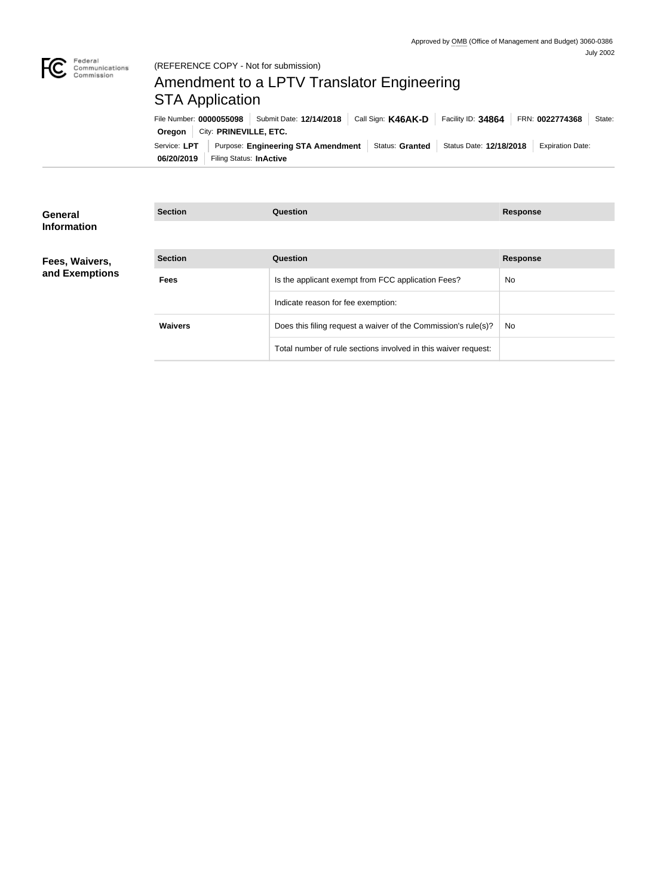

# Amendment to a LPTV Translator Engineering STA Application

Service: LPT | Purpose: Engineering STA Amendment | Status: Granted | Status Date: 12/18/2018 | Expiration Date: **Oregon** City: **PRINEVILLE**, ETC. File Number: **0000055098** Submit Date: **12/14/2018** Call Sign: **K46AK-D** Facility ID: **34864** FRN: **0022774368** State:

| 06/20/2019 | Filing Status: In Active |  |
|------------|--------------------------|--|

| General            | <b>Section</b> | Question                                                       | <b>Response</b> |
|--------------------|----------------|----------------------------------------------------------------|-----------------|
| <b>Information</b> |                |                                                                |                 |
| Fees, Waivers,     | <b>Section</b> | Question                                                       | <b>Response</b> |
| and Exemptions     | <b>Fees</b>    | Is the applicant exempt from FCC application Fees?             | <b>No</b>       |
|                    |                | Indicate reason for fee exemption:                             |                 |
|                    | <b>Waivers</b> | Does this filing request a waiver of the Commission's rule(s)? | <b>No</b>       |
|                    |                | Total number of rule sections involved in this waiver request: |                 |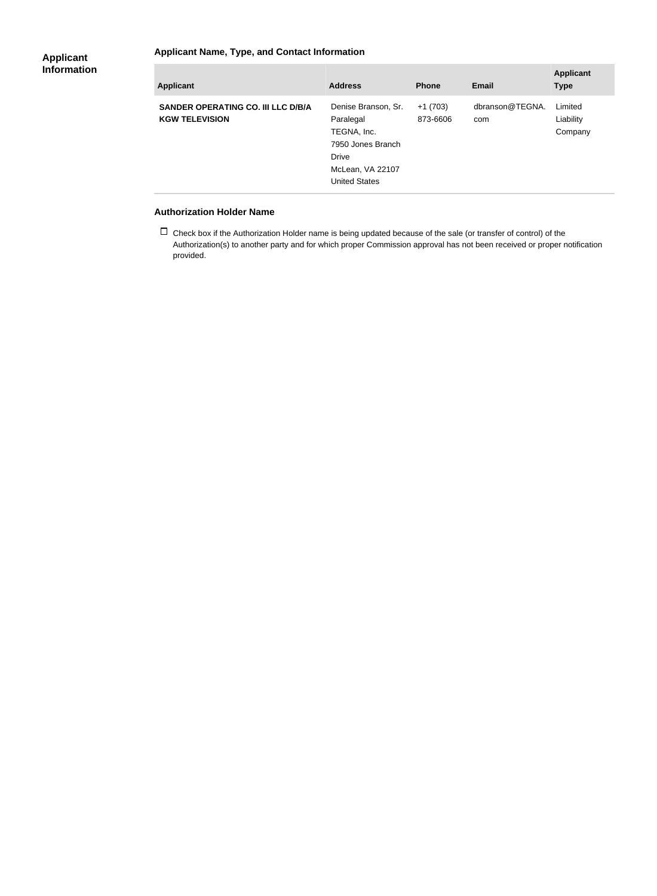### **Applicant Name, Type, and Contact Information**

| <b>Applicant</b>                                            | <b>Address</b>                                                                                                            | <b>Phone</b>          | Email                  | <b>Applicant</b><br><b>Type</b> |
|-------------------------------------------------------------|---------------------------------------------------------------------------------------------------------------------------|-----------------------|------------------------|---------------------------------|
| SANDER OPERATING CO. III LLC D/B/A<br><b>KGW TELEVISION</b> | Denise Branson, Sr.<br>Paralegal<br>TEGNA, Inc.<br>7950 Jones Branch<br>Drive<br>McLean, VA 22107<br><b>United States</b> | $+1(703)$<br>873-6606 | dbranson@TEGNA.<br>com | Limited<br>Liability<br>Company |

#### **Authorization Holder Name**

 $\Box$  Check box if the Authorization Holder name is being updated because of the sale (or transfer of control) of the Authorization(s) to another party and for which proper Commission approval has not been received or proper notification provided.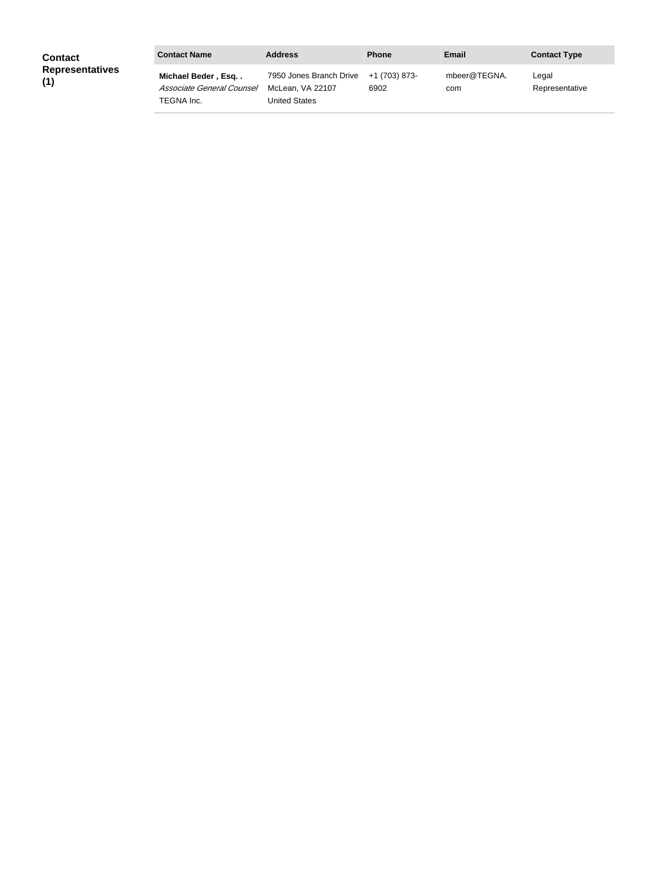| <b>Contact</b>                | <b>Contact Name</b>                                           | <b>Address</b>                                                             | <b>Phone</b> | Email               | <b>Contact Type</b>     |
|-------------------------------|---------------------------------------------------------------|----------------------------------------------------------------------------|--------------|---------------------|-------------------------|
| <b>Representatives</b><br>(1) | Michael Beder, Esq<br>Associate General Counsel<br>TEGNA Inc. | 7950 Jones Branch Drive +1 (703) 873-<br>McLean. VA 22107<br>United States | 6902         | mbeer@TEGNA.<br>com | Legal<br>Representative |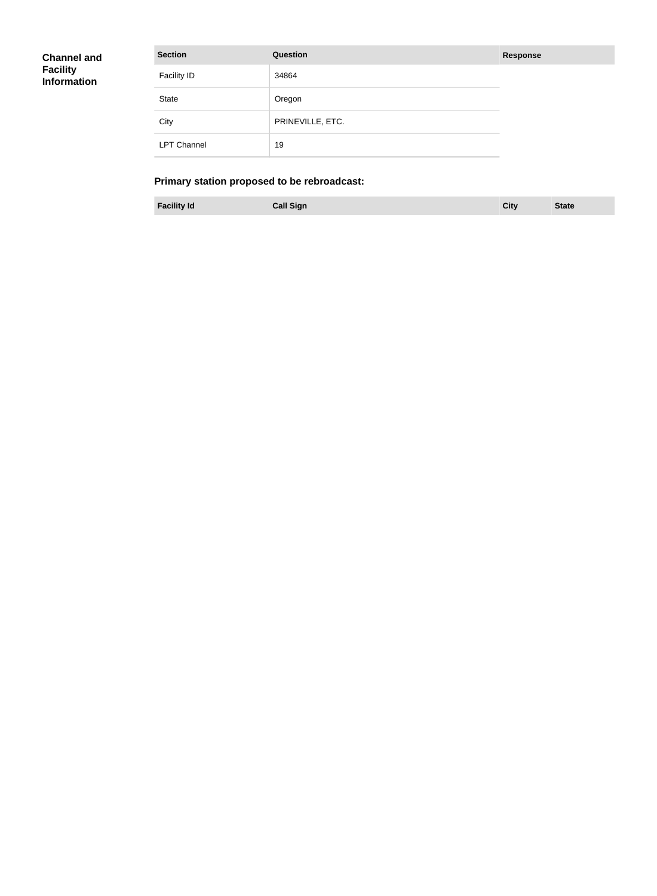| <b>Channel and</b> |  |
|--------------------|--|
| <b>Facility</b>    |  |
| <b>Information</b> |  |

| <b>Section</b>     | Question         | <b>Response</b> |
|--------------------|------------------|-----------------|
| <b>Facility ID</b> | 34864            |                 |
| <b>State</b>       | Oregon           |                 |
| City               | PRINEVILLE, ETC. |                 |
| <b>LPT Channel</b> | 19               |                 |

# **Primary station proposed to be rebroadcast:**

**Facility Id Call Sign City State**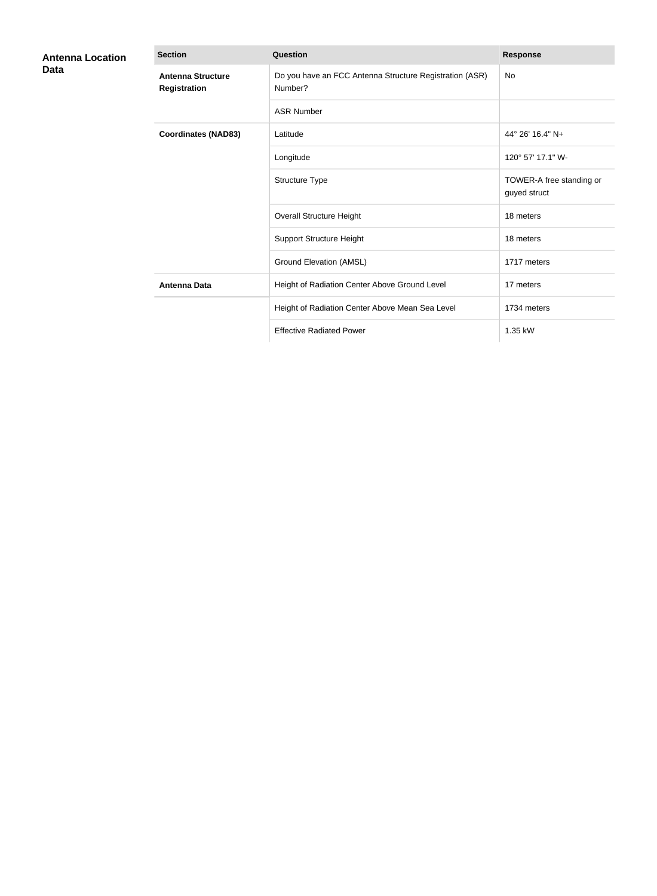| <b>Antenna Location</b><br>Data | <b>Section</b>                           | Question                                                           | <b>Response</b>                          |
|---------------------------------|------------------------------------------|--------------------------------------------------------------------|------------------------------------------|
|                                 | <b>Antenna Structure</b><br>Registration | Do you have an FCC Antenna Structure Registration (ASR)<br>Number? | <b>No</b>                                |
|                                 |                                          | <b>ASR Number</b>                                                  |                                          |
|                                 | <b>Coordinates (NAD83)</b>               | Latitude                                                           | 44° 26′ 16.4″ N+                         |
|                                 |                                          | Longitude                                                          | 120° 57' 17.1" W-                        |
|                                 |                                          | Structure Type                                                     | TOWER-A free standing or<br>guyed struct |
|                                 |                                          | <b>Overall Structure Height</b>                                    | 18 meters                                |
|                                 |                                          | <b>Support Structure Height</b>                                    | 18 meters                                |
|                                 |                                          | Ground Elevation (AMSL)                                            | 1717 meters                              |
|                                 | <b>Antenna Data</b>                      | Height of Radiation Center Above Ground Level                      | 17 meters                                |
|                                 |                                          | Height of Radiation Center Above Mean Sea Level                    | 1734 meters                              |
|                                 |                                          | <b>Effective Radiated Power</b>                                    | 1.35 kW                                  |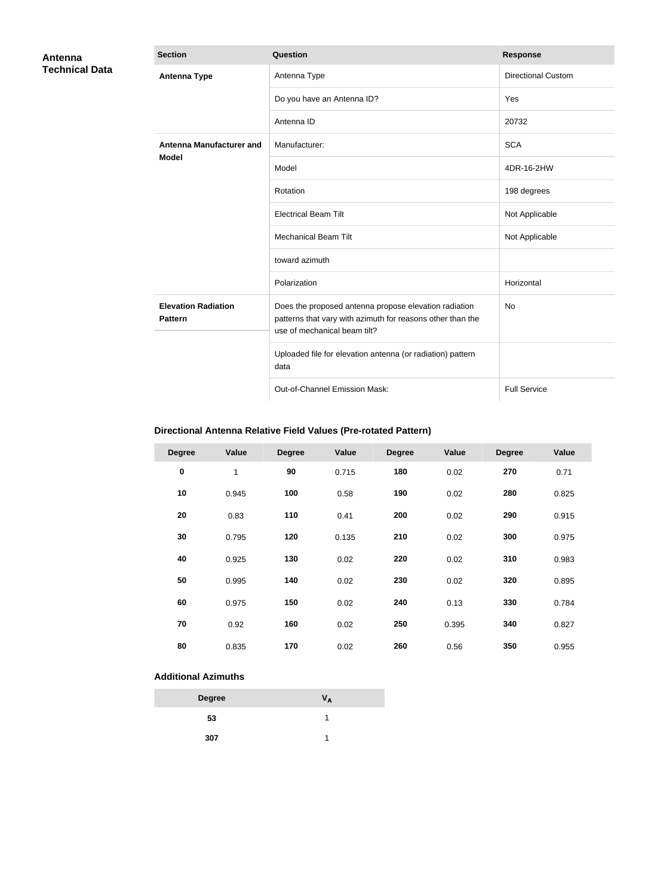| Antenna               | <b>Section</b>                               | Question                                                                                                                                            | <b>Response</b>           |
|-----------------------|----------------------------------------------|-----------------------------------------------------------------------------------------------------------------------------------------------------|---------------------------|
| <b>Technical Data</b> | <b>Antenna Type</b>                          | Antenna Type                                                                                                                                        | <b>Directional Custom</b> |
|                       |                                              | Do you have an Antenna ID?                                                                                                                          | Yes                       |
|                       |                                              | Antenna ID                                                                                                                                          | 20732                     |
|                       | <b>Antenna Manufacturer and</b>              | Manufacturer:                                                                                                                                       | <b>SCA</b>                |
|                       | <b>Model</b>                                 | Model                                                                                                                                               | 4DR-16-2HW                |
|                       |                                              | Rotation                                                                                                                                            | 198 degrees               |
|                       |                                              | <b>Electrical Beam Tilt</b>                                                                                                                         | Not Applicable            |
|                       |                                              | <b>Mechanical Beam Tilt</b>                                                                                                                         | Not Applicable            |
|                       |                                              | toward azimuth                                                                                                                                      |                           |
|                       |                                              | Polarization                                                                                                                                        | Horizontal                |
|                       | <b>Elevation Radiation</b><br><b>Pattern</b> | Does the proposed antenna propose elevation radiation<br>patterns that vary with azimuth for reasons other than the<br>use of mechanical beam tilt? | <b>No</b>                 |
|                       |                                              | Uploaded file for elevation antenna (or radiation) pattern<br>data                                                                                  |                           |
|                       |                                              | Out-of-Channel Emission Mask:                                                                                                                       | <b>Full Service</b>       |

# **Directional Antenna Relative Field Values (Pre-rotated Pattern)**

| <b>Degree</b> | Value | <b>Degree</b> | Value | <b>Degree</b> | Value | <b>Degree</b> | Value |
|---------------|-------|---------------|-------|---------------|-------|---------------|-------|
| $\pmb{0}$     | 1     | 90            | 0.715 | 180           | 0.02  | 270           | 0.71  |
| 10            | 0.945 | 100           | 0.58  | 190           | 0.02  | 280           | 0.825 |
| 20            | 0.83  | 110           | 0.41  | 200           | 0.02  | 290           | 0.915 |
| 30            | 0.795 | 120           | 0.135 | 210           | 0.02  | 300           | 0.975 |
| 40            | 0.925 | 130           | 0.02  | 220           | 0.02  | 310           | 0.983 |
| 50            | 0.995 | 140           | 0.02  | 230           | 0.02  | 320           | 0.895 |
| 60            | 0.975 | 150           | 0.02  | 240           | 0.13  | 330           | 0.784 |
| 70            | 0.92  | 160           | 0.02  | 250           | 0.395 | 340           | 0.827 |
| 80            | 0.835 | 170           | 0.02  | 260           | 0.56  | 350           | 0.955 |

### **Additional Azimuths**

| <b>Degree</b> | Vд |
|---------------|----|
| 53            |    |
| 307           |    |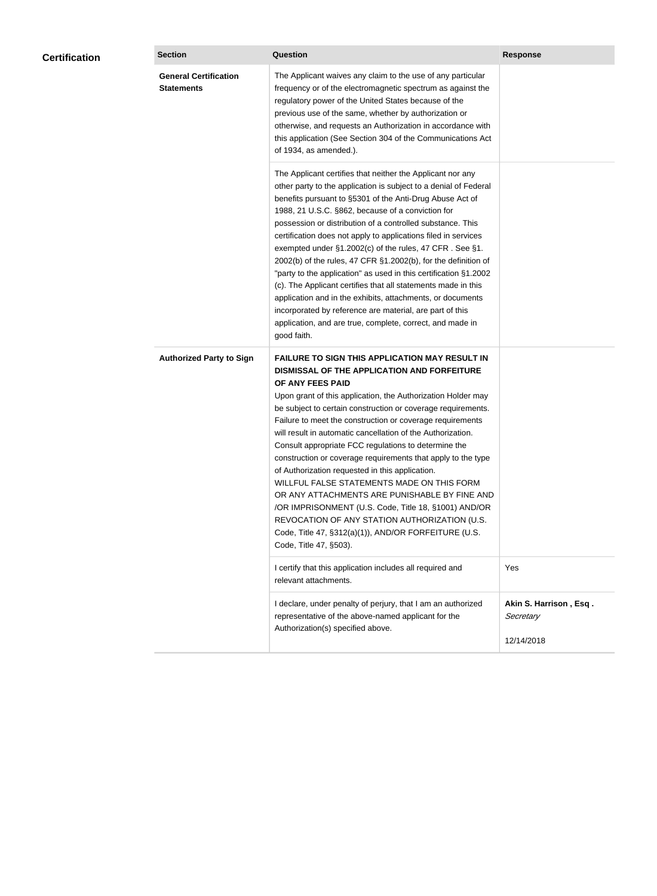| <b>General Certification</b><br>The Applicant waives any claim to the use of any particular<br><b>Statements</b><br>frequency or of the electromagnetic spectrum as against the<br>regulatory power of the United States because of the<br>previous use of the same, whether by authorization or<br>otherwise, and requests an Authorization in accordance with<br>this application (See Section 304 of the Communications Act<br>of 1934, as amended.).<br>The Applicant certifies that neither the Applicant nor any<br>other party to the application is subject to a denial of Federal<br>benefits pursuant to §5301 of the Anti-Drug Abuse Act of<br>1988, 21 U.S.C. §862, because of a conviction for<br>possession or distribution of a controlled substance. This<br>certification does not apply to applications filed in services<br>exempted under §1.2002(c) of the rules, 47 CFR. See §1.<br>2002(b) of the rules, 47 CFR §1.2002(b), for the definition of<br>"party to the application" as used in this certification §1.2002<br>(c). The Applicant certifies that all statements made in this<br>application and in the exhibits, attachments, or documents<br>incorporated by reference are material, are part of this<br>application, and are true, complete, correct, and made in<br>good faith.<br><b>Authorized Party to Sign</b><br><b>FAILURE TO SIGN THIS APPLICATION MAY RESULT IN</b><br>DISMISSAL OF THE APPLICATION AND FORFEITURE<br>OF ANY FEES PAID<br>Upon grant of this application, the Authorization Holder may<br>be subject to certain construction or coverage requirements.<br>Failure to meet the construction or coverage requirements<br>will result in automatic cancellation of the Authorization.<br>Consult appropriate FCC regulations to determine the<br>construction or coverage requirements that apply to the type<br>of Authorization requested in this application.<br>WILLFUL FALSE STATEMENTS MADE ON THIS FORM<br>OR ANY ATTACHMENTS ARE PUNISHABLE BY FINE AND<br>/OR IMPRISONMENT (U.S. Code, Title 18, §1001) AND/OR<br>REVOCATION OF ANY STATION AUTHORIZATION (U.S.<br>Code, Title 47, §312(a)(1)), AND/OR FORFEITURE (U.S.<br>Code, Title 47, §503).<br>I certify that this application includes all required and<br>Yes<br>relevant attachments.<br>I declare, under penalty of perjury, that I am an authorized<br>Akin S. Harrison, Esq.<br>representative of the above-named applicant for the<br>Secretary<br>Authorization(s) specified above. | <b>Certification</b> | <b>Section</b> | Question | <b>Response</b> |  |
|---------------------------------------------------------------------------------------------------------------------------------------------------------------------------------------------------------------------------------------------------------------------------------------------------------------------------------------------------------------------------------------------------------------------------------------------------------------------------------------------------------------------------------------------------------------------------------------------------------------------------------------------------------------------------------------------------------------------------------------------------------------------------------------------------------------------------------------------------------------------------------------------------------------------------------------------------------------------------------------------------------------------------------------------------------------------------------------------------------------------------------------------------------------------------------------------------------------------------------------------------------------------------------------------------------------------------------------------------------------------------------------------------------------------------------------------------------------------------------------------------------------------------------------------------------------------------------------------------------------------------------------------------------------------------------------------------------------------------------------------------------------------------------------------------------------------------------------------------------------------------------------------------------------------------------------------------------------------------------------------------------------------------------------------------------------------------------------------------------------------------------------------------------------------------------------------------------------------------------------------------------------------------------------------------------------------------------------------------------------------------------------------------------------------------------------------------------------------------------------------------------------------|----------------------|----------------|----------|-----------------|--|
|                                                                                                                                                                                                                                                                                                                                                                                                                                                                                                                                                                                                                                                                                                                                                                                                                                                                                                                                                                                                                                                                                                                                                                                                                                                                                                                                                                                                                                                                                                                                                                                                                                                                                                                                                                                                                                                                                                                                                                                                                                                                                                                                                                                                                                                                                                                                                                                                                                                                                                                     |                      |                |          |                 |  |
|                                                                                                                                                                                                                                                                                                                                                                                                                                                                                                                                                                                                                                                                                                                                                                                                                                                                                                                                                                                                                                                                                                                                                                                                                                                                                                                                                                                                                                                                                                                                                                                                                                                                                                                                                                                                                                                                                                                                                                                                                                                                                                                                                                                                                                                                                                                                                                                                                                                                                                                     |                      |                |          |                 |  |
|                                                                                                                                                                                                                                                                                                                                                                                                                                                                                                                                                                                                                                                                                                                                                                                                                                                                                                                                                                                                                                                                                                                                                                                                                                                                                                                                                                                                                                                                                                                                                                                                                                                                                                                                                                                                                                                                                                                                                                                                                                                                                                                                                                                                                                                                                                                                                                                                                                                                                                                     |                      |                |          |                 |  |
|                                                                                                                                                                                                                                                                                                                                                                                                                                                                                                                                                                                                                                                                                                                                                                                                                                                                                                                                                                                                                                                                                                                                                                                                                                                                                                                                                                                                                                                                                                                                                                                                                                                                                                                                                                                                                                                                                                                                                                                                                                                                                                                                                                                                                                                                                                                                                                                                                                                                                                                     |                      |                |          |                 |  |
|                                                                                                                                                                                                                                                                                                                                                                                                                                                                                                                                                                                                                                                                                                                                                                                                                                                                                                                                                                                                                                                                                                                                                                                                                                                                                                                                                                                                                                                                                                                                                                                                                                                                                                                                                                                                                                                                                                                                                                                                                                                                                                                                                                                                                                                                                                                                                                                                                                                                                                                     |                      |                |          | 12/14/2018      |  |